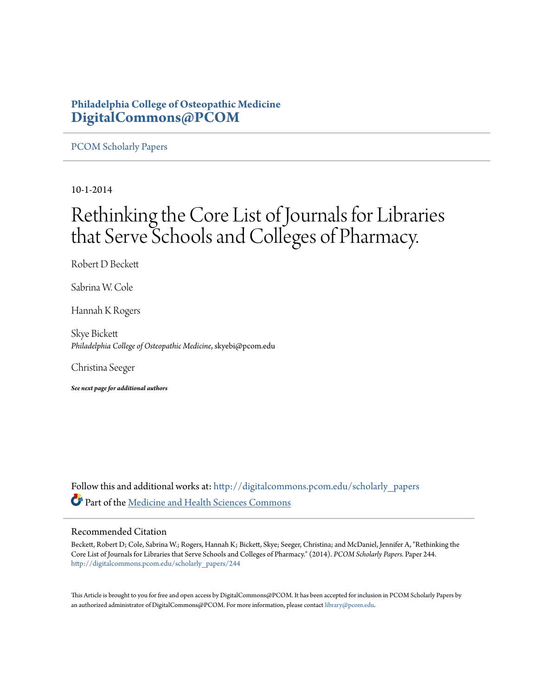## **Philadelphia College of Osteopathic Medicine [DigitalCommons@PCOM](http://digitalcommons.pcom.edu?utm_source=digitalcommons.pcom.edu%2Fscholarly_papers%2F244&utm_medium=PDF&utm_campaign=PDFCoverPages)**

[PCOM Scholarly Papers](http://digitalcommons.pcom.edu/scholarly_papers?utm_source=digitalcommons.pcom.edu%2Fscholarly_papers%2F244&utm_medium=PDF&utm_campaign=PDFCoverPages)

10-1-2014

# Rethinking the Core List of Journals for Libraries that Serve Schools and Colleges of Pharmacy.

Robert D Beckett

Sabrina W. Cole

Hannah K Rogers

Skye Bickett *Philadelphia College of Osteopathic Medicine*, skyebi@pcom.edu

Christina Seeger

*See next page for additional authors*

Follow this and additional works at: [http://digitalcommons.pcom.edu/scholarly\\_papers](http://digitalcommons.pcom.edu/scholarly_papers?utm_source=digitalcommons.pcom.edu%2Fscholarly_papers%2F244&utm_medium=PDF&utm_campaign=PDFCoverPages) Part of the [Medicine and Health Sciences Commons](http://network.bepress.com/hgg/discipline/648?utm_source=digitalcommons.pcom.edu%2Fscholarly_papers%2F244&utm_medium=PDF&utm_campaign=PDFCoverPages)

## Recommended Citation

Beckett, Robert D; Cole, Sabrina W.; Rogers, Hannah K; Bickett, Skye; Seeger, Christina; and McDaniel, Jennifer A, "Rethinking the Core List of Journals for Libraries that Serve Schools and Colleges of Pharmacy." (2014). *PCOM Scholarly Papers.* Paper 244. [http://digitalcommons.pcom.edu/scholarly\\_papers/244](http://digitalcommons.pcom.edu/scholarly_papers/244?utm_source=digitalcommons.pcom.edu%2Fscholarly_papers%2F244&utm_medium=PDF&utm_campaign=PDFCoverPages)

This Article is brought to you for free and open access by DigitalCommons@PCOM. It has been accepted for inclusion in PCOM Scholarly Papers by an authorized administrator of DigitalCommons@PCOM. For more information, please contact [library@pcom.edu.](mailto:library@pcom.edu)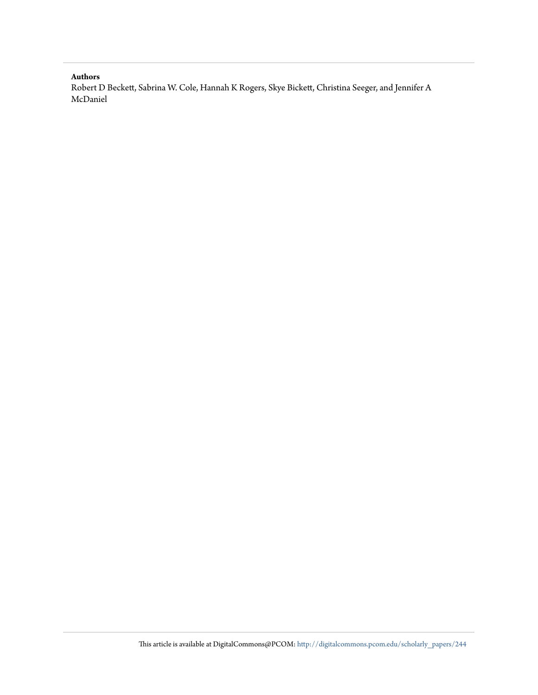### **Authors**

Robert D Beckett, Sabrina W. Cole, Hannah K Rogers, Skye Bickett, Christina Seeger, and Jennifer A McDaniel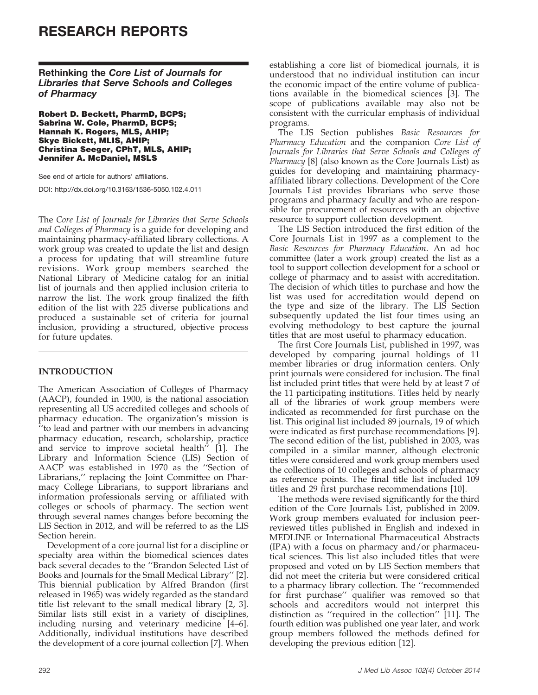## RESEARCH REPORTS

Rethinking the Core List of Journals for Libraries that Serve Schools and Colleges of Pharmacy

Robert D. Beckett, PharmD, BCPS; Sabrina W. Cole, PharmD, BCPS; Hannah K. Rogers, MLS, AHIP; Skye Bickett, MLIS, AHIP; Christina Seeger, CPhT, MLS, AHIP; Jennifer A. McDaniel, MSLS

See end of article for authors' affiliations.

DOI: http://dx.doi.org/10.3163/1536-5050.102.4.011

The Core List of Journals for Libraries that Serve Schools and Colleges of Pharmacy is a guide for developing and maintaining pharmacy-affiliated library collections. A work group was created to update the list and design a process for updating that will streamline future revisions. Work group members searched the National Library of Medicine catalog for an initial list of journals and then applied inclusion criteria to narrow the list. The work group finalized the fifth edition of the list with 225 diverse publications and produced a sustainable set of criteria for journal inclusion, providing a structured, objective process for future updates.

## INTRODUCTION

The American Association of Colleges of Pharmacy (AACP), founded in 1900, is the national association representing all US accredited colleges and schools of pharmacy education. The organization's mission is  $\mu$ <sup>t</sup> to lead and partner with our members in advancing pharmacy education, research, scholarship, practice and service to improve societal health $\bar{r}$  [1]. The Library and Information Science (LIS) Section of AACP was established in 1970 as the ''Section of Librarians,'' replacing the Joint Committee on Pharmacy College Librarians, to support librarians and information professionals serving or affiliated with colleges or schools of pharmacy. The section went through several names changes before becoming the LIS Section in 2012, and will be referred to as the LIS Section herein.

Development of a core journal list for a discipline or specialty area within the biomedical sciences dates back several decades to the ''Brandon Selected List of Books and Journals for the Small Medical Library'' [2]. This biennial publication by Alfred Brandon (first released in 1965) was widely regarded as the standard title list relevant to the small medical library [2, 3]. Similar lists still exist in a variety of disciplines, including nursing and veterinary medicine [4–6]. Additionally, individual institutions have described the development of a core journal collection [7]. When

establishing a core list of biomedical journals, it is understood that no individual institution can incur the economic impact of the entire volume of publications available in the biomedical sciences [3]. The scope of publications available may also not be consistent with the curricular emphasis of individual programs.

The LIS Section publishes Basic Resources for Pharmacy Education and the companion Core List of Journals for Libraries that Serve Schools and Colleges of Pharmacy [8] (also known as the Core Journals List) as guides for developing and maintaining pharmacyaffiliated library collections. Development of the Core Journals List provides librarians who serve those programs and pharmacy faculty and who are responsible for procurement of resources with an objective resource to support collection development.

The LIS Section introduced the first edition of the Core Journals List in 1997 as a complement to the Basic Resources for Pharmacy Education. An ad hoc committee (later a work group) created the list as a tool to support collection development for a school or college of pharmacy and to assist with accreditation. The decision of which titles to purchase and how the list was used for accreditation would depend on the type and size of the library. The LIS Section subsequently updated the list four times using an evolving methodology to best capture the journal titles that are most useful to pharmacy education.

The first Core Journals List, published in 1997, was developed by comparing journal holdings of 11 member libraries or drug information centers. Only print journals were considered for inclusion. The final list included print titles that were held by at least 7 of the 11 participating institutions. Titles held by nearly all of the libraries of work group members were indicated as recommended for first purchase on the list. This original list included 89 journals, 19 of which were indicated as first purchase recommendations [9]. The second edition of the list, published in 2003, was compiled in a similar manner, although electronic titles were considered and work group members used the collections of 10 colleges and schools of pharmacy as reference points. The final title list included 109 titles and 29 first purchase recommendations [10].

The methods were revised significantly for the third edition of the Core Journals List, published in 2009. Work group members evaluated for inclusion peerreviewed titles published in English and indexed in MEDLINE or International Pharmaceutical Abstracts (IPA) with a focus on pharmacy and/or pharmaceutical sciences. This list also included titles that were proposed and voted on by LIS Section members that did not meet the criteria but were considered critical to a pharmacy library collection. The ''recommended for first purchase'' qualifier was removed so that schools and accreditors would not interpret this distinction as ''required in the collection'' [11]. The fourth edition was published one year later, and work group members followed the methods defined for developing the previous edition [12].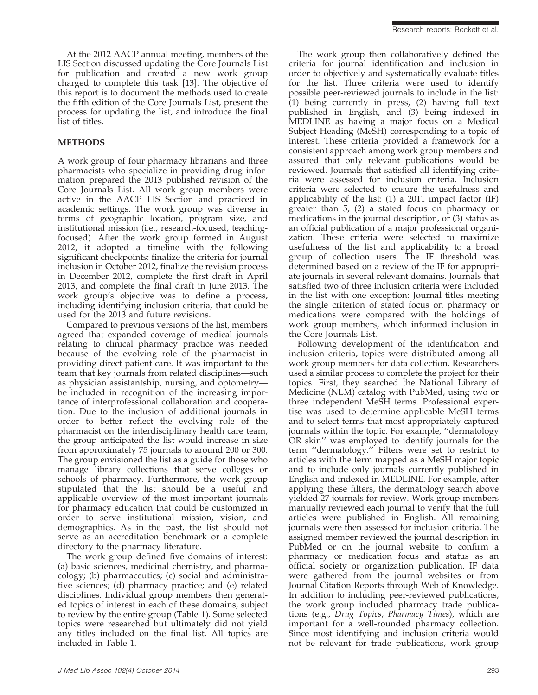At the 2012 AACP annual meeting, members of the LIS Section discussed updating the Core Journals List for publication and created a new work group charged to complete this task [13]. The objective of this report is to document the methods used to create the fifth edition of the Core Journals List, present the process for updating the list, and introduce the final list of titles.

## METHODS

A work group of four pharmacy librarians and three pharmacists who specialize in providing drug information prepared the 2013 published revision of the Core Journals List. All work group members were active in the AACP LIS Section and practiced in academic settings. The work group was diverse in terms of geographic location, program size, and institutional mission (i.e., research-focused, teachingfocused). After the work group formed in August 2012, it adopted a timeline with the following significant checkpoints: finalize the criteria for journal inclusion in October 2012, finalize the revision process in December 2012, complete the first draft in April 2013, and complete the final draft in June 2013. The work group's objective was to define a process, including identifying inclusion criteria, that could be used for the 2013 and future revisions.

Compared to previous versions of the list, members agreed that expanded coverage of medical journals relating to clinical pharmacy practice was needed because of the evolving role of the pharmacist in providing direct patient care. It was important to the team that key journals from related disciplines—such as physician assistantship, nursing, and optometry be included in recognition of the increasing importance of interprofessional collaboration and cooperation. Due to the inclusion of additional journals in order to better reflect the evolving role of the pharmacist on the interdisciplinary health care team, the group anticipated the list would increase in size from approximately 75 journals to around 200 or 300. The group envisioned the list as a guide for those who manage library collections that serve colleges or schools of pharmacy. Furthermore, the work group stipulated that the list should be a useful and applicable overview of the most important journals for pharmacy education that could be customized in order to serve institutional mission, vision, and demographics. As in the past, the list should not serve as an accreditation benchmark or a complete directory to the pharmacy literature.

The work group defined five domains of interest: (a) basic sciences, medicinal chemistry, and pharmacology; (b) pharmaceutics; (c) social and administrative sciences; (d) pharmacy practice; and (e) related disciplines. Individual group members then generated topics of interest in each of these domains, subject to review by the entire group (Table 1). Some selected topics were researched but ultimately did not yield any titles included on the final list. All topics are included in Table 1.

The work group then collaboratively defined the criteria for journal identification and inclusion in order to objectively and systematically evaluate titles for the list. Three criteria were used to identify possible peer-reviewed journals to include in the list: (1) being currently in press, (2) having full text published in English, and (3) being indexed in MEDLINE as having a major focus on a Medical Subject Heading (MeSH) corresponding to a topic of interest. These criteria provided a framework for a consistent approach among work group members and assured that only relevant publications would be reviewed. Journals that satisfied all identifying criteria were assessed for inclusion criteria. Inclusion criteria were selected to ensure the usefulness and applicability of the list: (1) a 2011 impact factor (IF) greater than 5, (2) a stated focus on pharmacy or medications in the journal description, or (3) status as an official publication of a major professional organization. These criteria were selected to maximize usefulness of the list and applicability to a broad group of collection users. The IF threshold was determined based on a review of the IF for appropriate journals in several relevant domains. Journals that satisfied two of three inclusion criteria were included in the list with one exception: Journal titles meeting the single criterion of stated focus on pharmacy or medications were compared with the holdings of work group members, which informed inclusion in the Core Journals List.

Following development of the identification and inclusion criteria, topics were distributed among all work group members for data collection. Researchers used a similar process to complete the project for their topics. First, they searched the National Library of Medicine (NLM) catalog with PubMed, using two or three independent MeSH terms. Professional expertise was used to determine applicable MeSH terms and to select terms that most appropriately captured journals within the topic. For example, ''dermatology OR skin'' was employed to identify journals for the term ''dermatology.'' Filters were set to restrict to articles with the term mapped as a MeSH major topic and to include only journals currently published in English and indexed in MEDLINE. For example, after applying these filters, the dermatology search above yielded 27 journals for review. Work group members manually reviewed each journal to verify that the full articles were published in English. All remaining journals were then assessed for inclusion criteria. The assigned member reviewed the journal description in PubMed or on the journal website to confirm a pharmacy or medication focus and status as an official society or organization publication. IF data were gathered from the journal websites or from Journal Citation Reports through Web of Knowledge. In addition to including peer-reviewed publications, the work group included pharmacy trade publications (e.g., Drug Topics, Pharmacy Times), which are important for a well-rounded pharmacy collection. Since most identifying and inclusion criteria would not be relevant for trade publications, work group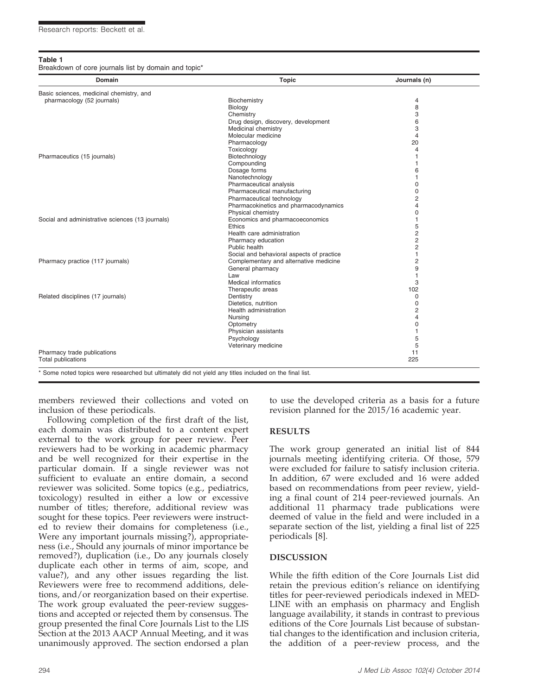#### Table 1

Breakdown of core journals list by domain and topic<sup>\*</sup>

| Domain                                           | <b>Topic</b>                                                                        | Journals (n)   |
|--------------------------------------------------|-------------------------------------------------------------------------------------|----------------|
| Basic sciences, medicinal chemistry, and         |                                                                                     |                |
| pharmacology (52 journals)                       | Biochemistry                                                                        | $\overline{4}$ |
|                                                  | Biology                                                                             | 8              |
|                                                  | Chemistry                                                                           | 3              |
|                                                  | Drug design, discovery, development                                                 | 6              |
|                                                  | Medicinal chemistry                                                                 | 3              |
|                                                  | Molecular medicine                                                                  | $\overline{4}$ |
|                                                  | Pharmacology                                                                        | 20             |
|                                                  | Toxicology                                                                          | 4              |
| Pharmaceutics (15 journals)                      | Biotechnology                                                                       | 1              |
|                                                  | Compounding                                                                         |                |
|                                                  | Dosage forms                                                                        | 6              |
|                                                  | Nanotechnology                                                                      |                |
|                                                  | Pharmaceutical analysis                                                             | 0              |
|                                                  | Pharmaceutical manufacturing                                                        | $\Omega$       |
|                                                  | Pharmaceutical technology                                                           | 2              |
|                                                  | Pharmacokinetics and pharmacodynamics                                               | 4              |
|                                                  | Physical chemistry                                                                  | 0              |
| Social and administrative sciences (13 journals) | Economics and pharmacoeconomics                                                     | 1              |
|                                                  | <b>Ethics</b>                                                                       | 5              |
|                                                  | Health care administration                                                          | 2              |
|                                                  | Pharmacy education                                                                  | $\overline{2}$ |
|                                                  | Public health                                                                       | $\overline{c}$ |
|                                                  |                                                                                     | $\mathbf{1}$   |
| Pharmacy practice (117 journals)                 | Social and behavioral aspects of practice<br>Complementary and alternative medicine | $\overline{c}$ |
|                                                  |                                                                                     | 9              |
|                                                  | General pharmacy                                                                    |                |
|                                                  | Law                                                                                 | $\mathbf{1}$   |
|                                                  | <b>Medical informatics</b>                                                          | 3              |
|                                                  | Therapeutic areas                                                                   | 102            |
| Related disciplines (17 journals)                | Dentistry                                                                           | $\Omega$       |
|                                                  | Dietetics, nutrition                                                                | $\mathbf 0$    |
|                                                  | Health administration                                                               | 2              |
|                                                  | Nursing                                                                             | $\overline{4}$ |
|                                                  | Optometry                                                                           | $\mathbf 0$    |
|                                                  | Physician assistants                                                                | 1              |
|                                                  | Psychology                                                                          | 5              |
|                                                  | Veterinary medicine                                                                 | 5              |
| Pharmacy trade publications                      |                                                                                     | 11             |
| <b>Total publications</b>                        |                                                                                     | 225            |

members reviewed their collections and voted on inclusion of these periodicals.

Following completion of the first draft of the list, each domain was distributed to a content expert external to the work group for peer review. Peer reviewers had to be working in academic pharmacy and be well recognized for their expertise in the particular domain. If a single reviewer was not sufficient to evaluate an entire domain, a second reviewer was solicited. Some topics (e.g., pediatrics, toxicology) resulted in either a low or excessive number of titles; therefore, additional review was sought for these topics. Peer reviewers were instructed to review their domains for completeness (i.e., Were any important journals missing?), appropriateness (i.e., Should any journals of minor importance be removed?), duplication (i.e., Do any journals closely duplicate each other in terms of aim, scope, and value?), and any other issues regarding the list. Reviewers were free to recommend additions, deletions, and/or reorganization based on their expertise. The work group evaluated the peer-review suggestions and accepted or rejected them by consensus. The group presented the final Core Journals List to the LIS Section at the 2013 AACP Annual Meeting, and it was unanimously approved. The section endorsed a plan

to use the developed criteria as a basis for a future revision planned for the 2015/16 academic year.

#### RESULTS

The work group generated an initial list of 844 journals meeting identifying criteria. Of those, 579 were excluded for failure to satisfy inclusion criteria. In addition, 67 were excluded and 16 were added based on recommendations from peer review, yielding a final count of 214 peer-reviewed journals. An additional 11 pharmacy trade publications were deemed of value in the field and were included in a separate section of the list, yielding a final list of 225 periodicals [8].

#### DISCUSSION

While the fifth edition of the Core Journals List did retain the previous edition's reliance on identifying titles for peer-reviewed periodicals indexed in MED-LINE with an emphasis on pharmacy and English language availability, it stands in contrast to previous editions of the Core Journals List because of substantial changes to the identification and inclusion criteria, the addition of a peer-review process, and the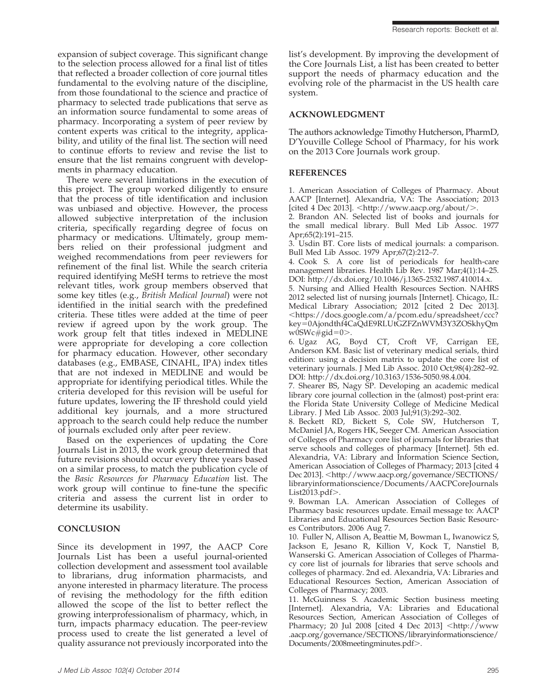expansion of subject coverage. This significant change to the selection process allowed for a final list of titles that reflected a broader collection of core journal titles fundamental to the evolving nature of the discipline, from those foundational to the science and practice of pharmacy to selected trade publications that serve as an information source fundamental to some areas of pharmacy. Incorporating a system of peer review by content experts was critical to the integrity, applicability, and utility of the final list. The section will need to continue efforts to review and revise the list to ensure that the list remains congruent with developments in pharmacy education.

There were several limitations in the execution of this project. The group worked diligently to ensure that the process of title identification and inclusion was unbiased and objective. However, the process allowed subjective interpretation of the inclusion criteria, specifically regarding degree of focus on pharmacy or medications. Ultimately, group members relied on their professional judgment and weighed recommendations from peer reviewers for refinement of the final list. While the search criteria required identifying MeSH terms to retrieve the most relevant titles, work group members observed that some key titles (e.g., British Medical Journal) were not identified in the initial search with the predefined criteria. These titles were added at the time of peer review if agreed upon by the work group. The work group felt that titles indexed in MEDLINE were appropriate for developing a core collection for pharmacy education. However, other secondary databases (e.g., EMBASE, CINAHL, IPA) index titles that are not indexed in MEDLINE and would be appropriate for identifying periodical titles. While the criteria developed for this revision will be useful for future updates, lowering the IF threshold could yield additional key journals, and a more structured approach to the search could help reduce the number of journals excluded only after peer review.

Based on the experiences of updating the Core Journals List in 2013, the work group determined that future revisions should occur every three years based on a similar process, to match the publication cycle of the Basic Resources for Pharmacy Education list. The work group will continue to fine-tune the specific criteria and assess the current list in order to determine its usability.

## **CONCLUSION**

Since its development in 1997, the AACP Core Journals List has been a useful journal-oriented collection development and assessment tool available to librarians, drug information pharmacists, and anyone interested in pharmacy literature. The process of revising the methodology for the fifth edition allowed the scope of the list to better reflect the growing interprofessionalism of pharmacy, which, in turn, impacts pharmacy education. The peer-review process used to create the list generated a level of quality assurance not previously incorporated into the list's development. By improving the development of the Core Journals List, a list has been created to better support the needs of pharmacy education and the evolving role of the pharmacist in the US health care system.

### ACKNOWLEDGMENT

The authors acknowledge Timothy Hutcherson, PharmD, D'Youville College School of Pharmacy, for his work on the 2013 Core Journals work group.

## REFERENCES

1. American Association of Colleges of Pharmacy. About AACP [Internet]. Alexandria, VA: The Association; 2013 [cited 4 Dec 2013].  $\langle$ http://www.aacp.org/about/ $\rangle$ .

2. Brandon AN. Selected list of books and journals for the small medical library. Bull Med Lib Assoc. 1977 Apr;65(2):191–215.

3. Usdin BT. Core lists of medical journals: a comparison. Bull Med Lib Assoc. 1979 Apr;67(2):212–7.

4. Cook S. A core list of periodicals for health-care management libraries. Health Lib Rev. 1987 Mar;4(1):14–25. DOI: http://dx.doi.org/10.1046/j.1365-2532.1987.410014.x.

5. Nursing and Allied Health Resources Section. NAHRS 2012 selected list of nursing journals [Internet]. Chicago, IL: Medical Library Association; 2012 [cited 2 Dec 2013]. ,https://docs.google.com/a/pcom.edu/spreadsheet/ccc? key50Ajondthf4CaQdE9RLUtGZFZnWVM3Y3ZOSkhyQm  $w0SWc\#gid=0.$ 

6. Ugaz AG, Boyd CT, Croft VF, Carrigan EE, Anderson KM. Basic list of veterinary medical serials, third edition: using a decision matrix to update the core list of veterinary journals. J Med Lib Assoc. 2010 Oct;98(4):282–92. DOI: http://dx.doi.org/10.3163/1536-5050.98.4.004.

7. Shearer BS, Nagy SP. Developing an academic medical library core journal collection in the (almost) post-print era: the Florida State University College of Medicine Medical Library. J Med Lib Assoc. 2003 Jul;91(3):292–302.

8. Beckett RD, Bickett S, Cole SW, Hutcherson T, McDaniel JA, Rogers HK, Seeger CM. American Association of Colleges of Pharmacy core list of journals for libraries that serve schools and colleges of pharmacy [Internet]. 5th ed. Alexandria, VA: Library and Information Science Section, American Association of Colleges of Pharmacy; 2013 [cited 4 Dec 2013]. <http://www.aacp.org/governance/SECTIONS/ libraryinformationscience/Documents/AACPCoreJournals  $List2013.pdf$ .

9. Bowman LA. American Association of Colleges of Pharmacy basic resources update. Email message to: AACP Libraries and Educational Resources Section Basic Resources Contributors. 2006 Aug 7.

10. Fuller N, Allison A, Beattie M, Bowman L, Iwanowicz S, Jackson E, Jesano R, Killion V, Kock T, Nanstiel B, Wanserski G. American Association of Colleges of Pharmacy core list of journals for libraries that serve schools and colleges of pharmacy. 2nd ed. Alexandria, VA: Libraries and Educational Resources Section, American Association of Colleges of Pharmacy; 2003.

11. McGuinness S. Academic Section business meeting [Internet]. Alexandria, VA: Libraries and Educational Resources Section, American Association of Colleges of Pharmacy; 20 Jul 2008 [cited 4 Dec 2013] <http://www .aacp.org/governance/SECTIONS/libraryinformationscience/ Documents/2008meetingminutes.pdf>.